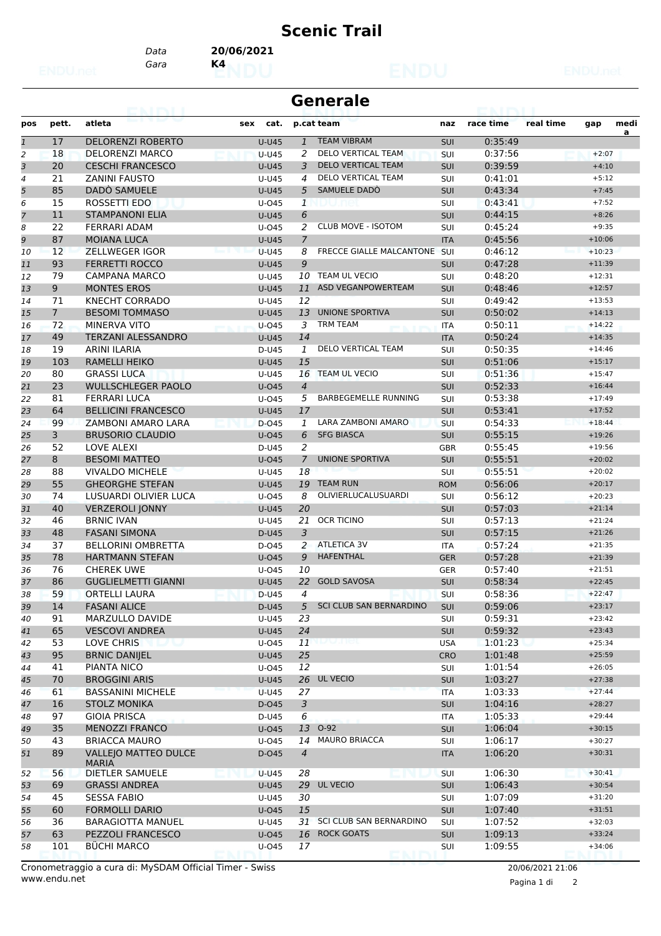## **Scenic Trail**

*Gara* **K4** *Data* **20/06/2021**

| <b>Generale</b> |  |
|-----------------|--|
|                 |  |

| pos            | pett.                | atleta                                            | cat.<br>sex           |                | p.cat team                      | naz               | race time | real time | gap                  | medi |
|----------------|----------------------|---------------------------------------------------|-----------------------|----------------|---------------------------------|-------------------|-----------|-----------|----------------------|------|
| $\mathbf{1}$   | 17                   | <b>DELORENZI ROBERTO</b>                          | <b>U-U45</b>          | $\mathbf{1}$   | <b>TEAM VIBRAM</b>              | <b>SUI</b>        | 0:35:49   |           |                      | a    |
| 2              | 18                   | <b>DELORENZI MARCO</b>                            | <b>U-U45</b>          | 2              | DELO VERTICAL TEAM              | SUI               | 0:37:56   |           | $+2:07$              |      |
| 3              | 20                   | <b>CESCHI FRANCESCO</b>                           | <b>U-U45</b>          | 3              | <b>DELO VERTICAL TEAM</b>       | <b>SUI</b>        | 0:39:59   |           | $+4:10$              |      |
| $\overline{4}$ | 21                   | <b>ZANINI FAUSTO</b>                              | U-U45                 | 4              | DELO VERTICAL TEAM              | SUI               | 0:41:01   |           | $+5:12$              |      |
| 5              | 85                   | DADO SAMUELE                                      | <b>U-U45</b>          | 5              | SAMUELE DADO                    | <b>SUI</b>        | 0:43:34   |           | $+7:45$              |      |
| 6              | 15                   | ROSSETTI EDO                                      | U-045                 | $\mathbf{1}$   |                                 | SUI               | 0:43:41   |           | $+7:52$              |      |
| $\overline{7}$ | 11                   | <b>STAMPANONI ELIA</b>                            | $U-U45$               | 6              |                                 | <b>SUI</b>        | 0:44:15   |           | $+8:26$              |      |
| 8              | 22                   | <b>FERRARI ADAM</b>                               | U-045                 | 2              | <b>CLUB MOVE - ISOTOM</b>       | SUI               | 0:45:24   |           | $+9:35$              |      |
| 9              | 87                   | <b>MOIANA LUCA</b>                                | <b>U-U45</b>          | $\overline{7}$ |                                 | <b>ITA</b>        | 0:45:56   |           | $+10:06$             |      |
| 10             | 12                   | <b>ZELLWEGER IGOR</b>                             | $U-U45$               | 8              | <b>FRECCE GIALLE MALCANTONE</b> | <b>SUI</b>        | 0:46:12   |           | $+10:23$             |      |
| 11             | 93                   | <b>FERRETTI ROCCO</b>                             | <b>U-U45</b>          | $\mathcal{G}$  |                                 | <b>SUI</b>        | 0:47:28   |           | $+11:39$             |      |
| 12             | 79                   | <b>CAMPANA MARCO</b>                              | U-U45                 |                | 10 TEAM UL VECIO                | SUI               | 0:48:20   |           | $+12:31$             |      |
| 13             | 9                    | <b>MONTES EROS</b>                                | <b>U-U45</b>          | 11             | ASD VEGANPOWERTEAM              | <b>SUI</b>        | 0:48:46   |           | $+12:57$             |      |
| 14             | 71                   | <b>KNECHT CORRADO</b>                             | U-U45                 | 12             |                                 | SUI               | 0:49:42   |           | $+13:53$             |      |
| 15             | $7\overline{ }$      | <b>BESOMI TOMMASO</b>                             | <b>U-U45</b>          | 13             | <b>UNIONE SPORTIVA</b>          | SUI               | 0:50:02   |           | $+14:13$             |      |
| 16             | 72                   | <b>MINERVA VITO</b>                               | U-045                 | 3              | <b>TRM TEAM</b>                 | <b>ITA</b>        | 0:50:11   |           | $+14:22$             |      |
|                | 49                   | <b>TERZANI ALESSANDRO</b>                         |                       | 14             |                                 |                   | 0:50:24   |           | $+14:35$             |      |
| 17             | 19                   |                                                   | <b>U-U45</b>          | $\mathbf{1}$   | <b>DELO VERTICAL TEAM</b>       | <b>ITA</b>        | 0:50:35   |           | $+14:46$             |      |
| 18             | 103                  | ARINI ILARIA<br><b>RAMELLI HEIKO</b>              | D-U45<br><b>U-U45</b> | 15             |                                 | SUI<br><b>SUI</b> | 0:51:06   |           | $+15:17$             |      |
| 19             | 80                   | <b>GRASSI LUCA</b>                                |                       | 16             | <b>TEAM UL VECIO</b>            |                   | 0:51:36   |           | $+15:47$             |      |
| 20             |                      |                                                   | U-U45                 |                |                                 | SUI               |           |           | $+16:44$             |      |
| 21             | 23                   | <b>WULLSCHLEGER PAOLO</b>                         | $U$ -045              | $\overline{4}$ | <b>BARBEGEMELLE RUNNING</b>     | <b>SUI</b>        | 0:52:33   |           |                      |      |
| 22             | 81<br>64             | <b>FERRARI LUCA</b><br><b>BELLICINI FRANCESCO</b> | U-045                 | 5<br>17        |                                 | SUI               | 0:53:38   |           | $+17:49$             |      |
| 23             |                      |                                                   | <b>U-U45</b>          |                | LARA ZAMBONI AMARO              | SUI               | 0:53:41   |           | $+17:52$<br>$+18:44$ |      |
| 24             | 99<br>$\overline{3}$ | ZAMBONI AMARO LARA<br><b>BRUSORIO CLAUDIO</b>     | D-045                 | 1              |                                 | SUI               | 0:54:33   |           |                      |      |
| 25             |                      |                                                   | $U$ -045              | 6              | <b>SFG BIASCA</b>               | <b>SUI</b>        | 0:55:15   |           | $+19:26$             |      |
| 26             | 52                   | LOVE ALEXI                                        | D-U45                 | 2              |                                 | <b>GBR</b>        | 0:55:45   |           | $+19:56$             |      |
| 27             | 8                    | <b>BESOMI MATTEO</b>                              | $U$ -045              | $\overline{7}$ | <b>UNIONE SPORTIVA</b>          | <b>SUI</b>        | 0:55:51   |           | $+20:02$             |      |
| 28             | 88                   | <b>VIVALDO MICHELE</b>                            | U-U45                 | 18             | <b>TEAM RUN</b>                 | SUI               | 0:55:51   |           | $+20:02$             |      |
| 29             | 55                   | <b>GHEORGHE STEFAN</b>                            | <b>U-U45</b>          | 19             | OLIVIERLUCALUSUARDI             | <b>ROM</b>        | 0:56:06   |           | $+20:17$             |      |
| 30             | 74                   | LUSUARDI OLIVIER LUCA                             | U-045                 | 8              |                                 | SUI               | 0:56:12   |           | $+20:23$             |      |
| 31             | 40                   | <b>VERZEROLI JONNY</b>                            | <b>U-U45</b>          | 20             | <b>OCR TICINO</b>               | <b>SUI</b>        | 0:57:03   |           | $+21:14$             |      |
| 32             | 46                   | <b>BRNIC IVAN</b>                                 | U-U45                 | 21             |                                 | <b>SUI</b>        | 0:57:13   |           | $+21:24$             |      |
| 33             | 48                   | <b>FASANI SIMONA</b>                              | D-U45                 | $\overline{3}$ |                                 | SUI               | 0:57:15   |           | $+21:26$             |      |
| 34             | 37                   | <b>BELLORINI OMBRETTA</b>                         | D-045                 | 2              | <b>ATLETICA 3V</b>              | <b>ITA</b>        | 0:57:24   |           | $+21:35$             |      |
| 35             | 78                   | <b>HARTMANN STEFAN</b>                            | $U$ -045              | $\overline{9}$ | <b>HAFENTHAL</b>                | <b>GER</b>        | 0:57:28   |           | $+21:39$             |      |
| 36             | 76                   | <b>CHEREK UWE</b>                                 | U-045                 | 10             |                                 | <b>GER</b>        | 0:57:40   |           | $+21:51$             |      |
| 37             | 86                   | <b>GUGLIELMETTI GIANNI</b>                        | <b>U-U45</b>          | 22             | <b>GOLD SAVOSA</b>              | <b>SUI</b>        | 0:58:34   |           | $+22:45$             |      |
| 38             | 59                   | <b>ORTELLI LAURA</b>                              | D-U45                 | 4              |                                 | SUI               | 0:58:36   |           | $+22:47$             |      |
| 39             | 14                   | <b>FASANI ALICE</b>                               | $D-U45$               | 5              | SCI CLUB SAN BERNARDINO         | <b>SUI</b>        | 0:59:06   |           | $+23:17$             |      |
| 40             | 91                   | MARZULLO DAVIDE                                   | U-U45                 | 23             |                                 | <b>SUI</b>        | 0:59:31   |           | $+23:42$             |      |
| 41             | 65                   | <b>VESCOVI ANDREA</b>                             | U-U45                 | 24             |                                 | <b>SUI</b>        | 0:59:32   |           | $+23:43$             |      |
| 42             | 53                   | LOVE CHRIS                                        | U-045                 | 11             | LO JUGI                         | <b>USA</b>        | 1:01:23   |           | $+25:34$             |      |
| 43             | 95                   | <b>BRNIC DANIJEL</b>                              | U-U45                 | 25             |                                 | <b>CRO</b>        | 1:01:48   |           | $+25:59$             |      |
| 44             | 41                   | PIANTA NICO                                       | U-045                 | 12             |                                 | <b>SUI</b>        | 1:01:54   |           | $+26:05$             |      |
| 45             | 70                   | <b>BROGGINI ARIS</b>                              | U-U45                 |                | 26 UL VECIO                     | SUI               | 1:03:27   |           | $+27:38$             |      |
| 46             | 61                   | <b>BASSANINI MICHELE</b>                          | $U-U45$               | 27             |                                 | <b>ITA</b>        | 1:03:33   |           | $+27:44$             |      |
| 47             | 16                   | <b>STOLZ MONIKA</b>                               | D-045                 | 3              |                                 | <b>SUI</b>        | 1:04:16   |           | $+28:27$             |      |
| 48             | 97                   | <b>GIOIA PRISCA</b>                               | D-U45                 | 6              |                                 | ITA               | 1:05:33   |           | $+29:44$             |      |
| 49             | 35                   | <b>MENOZZI FRANCO</b>                             | $U$ -045              | 13             | $O-92$                          | <b>SUI</b>        | 1:06:04   |           | $+30:15$             |      |
| 50             | 43                   | <b>BRIACCA MAURO</b>                              | U-045                 | 14             | <b>MAURO BRIACCA</b>            | <b>SUI</b>        | 1:06:17   |           | $+30:27$             |      |
| 51             | 89                   | <b>VALLEJO MATTEO DULCE</b><br><b>MARIA</b>       | D-045                 | $\overline{4}$ |                                 | <b>ITA</b>        | 1:06:20   |           | $+30:31$             |      |
| 52             | 56                   | <b>DIETLER SAMUELE</b>                            | <b>U-U45</b>          | 28             |                                 | <b>SUI</b>        | 1:06:30   |           | $+30:41$             |      |
| 53             | 69                   | <b>GRASSI ANDREA</b>                              | U-U45                 | 29             | <b>UL VECIO</b>                 | SUI               | 1:06:43   |           | $+30:54$             |      |
| 54             | 45                   | <b>SESSA FABIO</b>                                | U-U45                 | 30             |                                 | <b>SUI</b>        | 1:07:09   |           | $+31:20$             |      |
| 55             | 60                   | <b>FORMOLLI DARIO</b>                             | U-045                 | 15             |                                 | <b>SUI</b>        | 1:07:40   |           | $+31:51$             |      |
| 56             | 36                   | <b>BARAGIOTTA MANUEL</b>                          | U-U45                 |                | 31 SCI CLUB SAN BERNARDINO      | SUI               | 1:07:52   |           | $+32:03$             |      |
| 57             | 63                   | PEZZOLI FRANCESCO                                 | U-045                 |                | 16 ROCK GOATS                   | <b>SUI</b>        | 1:09:13   |           | $+33:24$             |      |
| 58             | 101                  | <b>BÜCHI MARCO</b>                                | U-045                 | 17             |                                 | <b>SUI</b>        | 1:09:55   |           | $+34:06$             |      |
|                |                      |                                                   |                       |                |                                 |                   |           |           |                      |      |

www.endu.net Cronometraggio a cura di: MySDAM Official Timer - Swiss 20/06/2021 21:06

Pagina 1 di 2